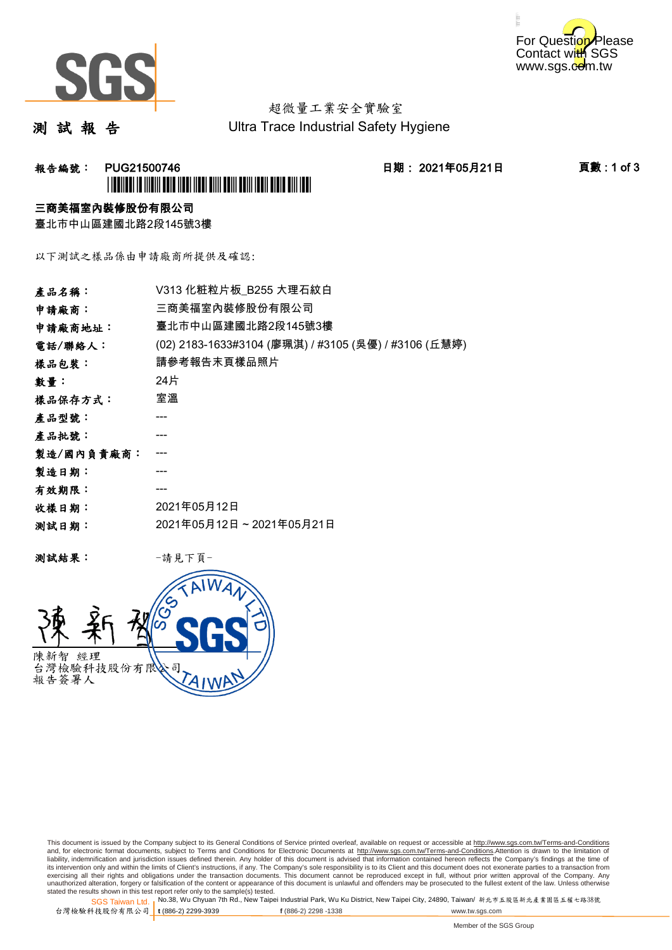



# 超微量工業安全實驗室

測 試 報 告

Ultra Trace Industrial Safety Hygiene

### **報告編號: PUG21500746 日期: 2021年05月21日 頁數:1 of 3** \*PUG21500746\*

### 三商美福室內裝修股份有限公司

臺北市中山區建國北路2段145號3樓

以下測試之樣品係由申請廠商所提供及確認:

| 產品名稱:      | V313 化粧粒片板_B255 大理石紋白                                |
|------------|------------------------------------------------------|
| 申請廠商:      | 三商美福室內裝修股份有限公司                                       |
| 申請廠商地址:    | 臺北市中山區建國北路2段145號3樓                                   |
| 電話/聯絡人:    | (02) 2183-1633#3104 (廖珮淇) / #3105 (吳優) / #3106 (丘慧婷) |
| 樣品包裝:      | 請參考報告末頁樣品照片                                          |
| 數量:        | 24片                                                  |
| 樣品保存方式:    | 室溫                                                   |
| 產品型號:      | ---                                                  |
| 產品批號:      |                                                      |
| 製造/國內負責廠商: |                                                      |
| 製造日期:      |                                                      |
| 有效期限:      | ---                                                  |
| 收樣日期:      | 2021年05月12日                                          |
| 测試日期:      | 2021年05月12日~2021年05月21日                              |
|            |                                                      |

测試結果: 一請見下頁



This document is issued by the Company subject to its General Conditions of Service printed overleaf, available on request or accessible at http://www.sgs.com.tw/Terms-and-Conditions and, for electronic format documents, subject to Terms and Conditions for Electronic Documents at <u>http://www.sgs.com.tw/Terms-and-Conditions</u>.Attention is drawn to the limitation of<br>liability, indemnification and jurisdic exercising all their rights and obligations under the transaction documents. This document cannot be reproduced except in full, without prior written approval of the Company. Any<br>unauthorized alteration, forgery or falsifi

SGS Taiwan Ltd. 1 stated the results shown in this test report refer only to the sample(s) tested.<br>Stated the results shown in this test report refer only to the sample(s) tested.

台灣檢驗科技股份有限公司

**t** (886-2) 2299-3939 **f** (886-2) 2298 -1338 www.tw.sgs.com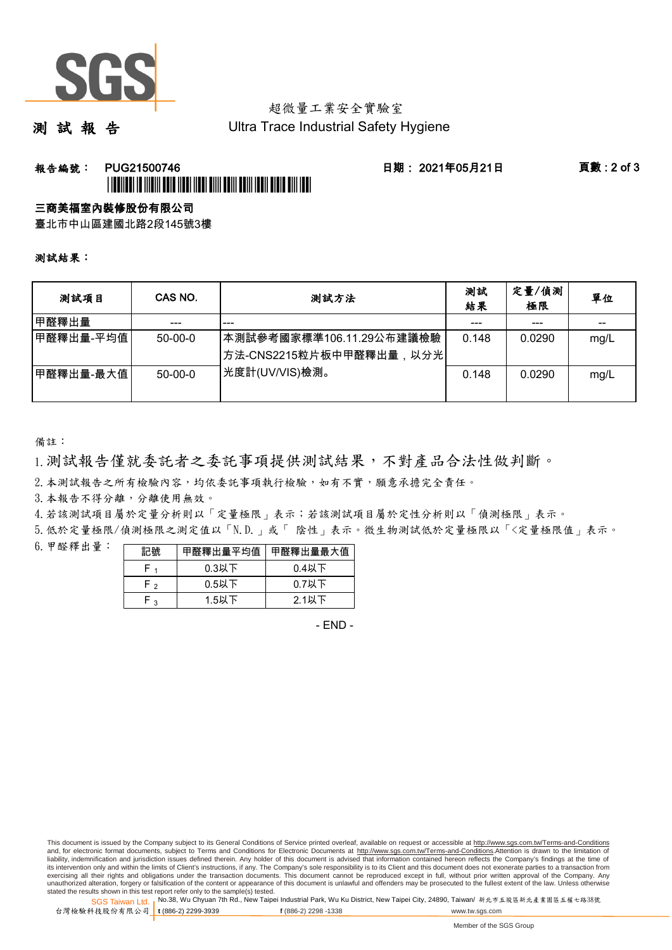

## 超微量工業安全實驗室

測 試 報 告

Ultra Trace Industrial Safety Hygiene

### 報告編號: PUG21500746 日期: 2021年05月21日 頁數 : 2 of 3 \*PUGATION AND AND AND AND A THE BUILDING OF THE BUILDING OF THE U.S. PERSON AND A THE U.S. PERSON AND A THE U.

### 三商美福室內裝修股份有限公司

臺北市中山區建國北路2段145號3樓

### 測試結果:

| 测試項目      | CAS NO.   | 測試方法                                                 | 測試<br>結果 | 定量/偵測<br>極限 | 單位   |
|-----------|-----------|------------------------------------------------------|----------|-------------|------|
| 甲醛釋出量     | ---       | ---                                                  | ---      | ---         | --   |
| 甲醛釋出量-平均值 | $50-00-0$ | ┃本測試參考國家標準106.11.29公布建議檢驗<br>方法-CNS2215粒片板中甲醛釋出量,以分光 | 0.148    | 0.0290      | mg/L |
| 甲醛釋出量-最大值 | $50-00-0$ | 光度計(UV/VIS)檢測。                                       | 0.148    | 0.0290      | mg/L |

備註:

1.測試報告僅就委託者之委託事項提供測試結果,不對產品合法性做判斷。

2.本測試報告之所有檢驗內容,均依委託事項執行檢驗,如有不實,願意承擔完全責任。

3. 本報告不得分離,分離使用無效。

4.若該測試項目屬於定量分析則以「定量極限」表示;若該測試項目屬於定性分析則以「偵測極限」表示。

5.低於定量極限/偵測極限之測定值以「N.D.」或「 陰性」表示。微生物測試低於定量極限以「<定量極限值」表示。

6.甲醛釋出量:

| 記號  | 甲醛釋出量平均值 | 甲醛釋出量最大值 |
|-----|----------|----------|
|     | $0.3$ 以下 | $0.4$ 以下 |
| - ^ | $0.5$ 以下 | $0.7$ 以下 |
| ີ   | 1.5以下    | 2.1以下    |

- END -

SGS Taiwan Ltd. 1 stated the results shown in this test report refer only to the sample(s) tested.<br>Stated the results shown in this test report refer only to the sample(s) tested.

台灣檢驗科技股份有限公司 **t** (886-2) 2299-3939 **f** (886-2) 2298 -1338 www.tw.sgs.com

This document is issued by the Company subject to its General Conditions of Service printed overleaf, available on request or accessible at http://www.sgs.com.tw/Terms-and-Conditions and, for electronic format documents, subject to Terms and Conditions for Electronic Documents at http://www.sgs.com.tw/Terms-and-Conditions.Attention is drawn to the limitation of liability, indemnification and jurisdiction issues defined therein. Any holder of this document is advised that information contained hereon reflects the Company's findings at the time of<br>its intervention only and within t exercising all their rights and obligations under the transaction documents. This document cannot be reproduced except in full, without prior written approval of the Company. Any<br>unauthorized alteration, forgery or falsifi